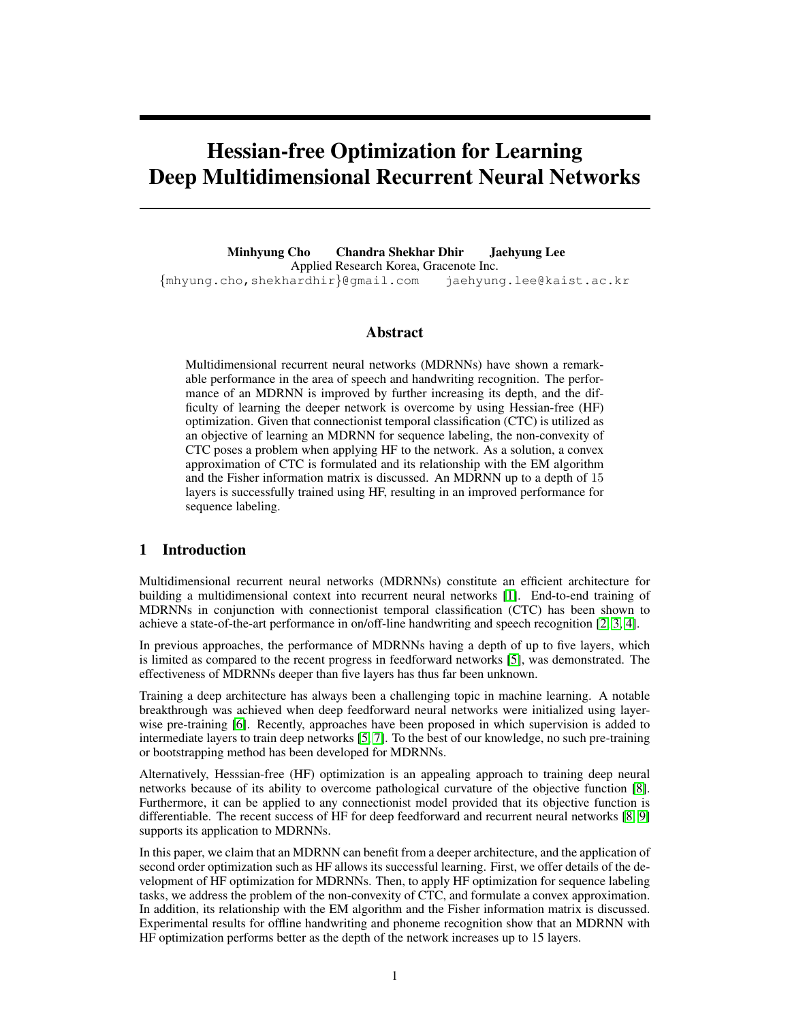# Hessian-free Optimization for Learning Deep Multidimensional Recurrent Neural Networks

Minhyung Cho Chandra Shekhar Dhir Jaehyung Lee Applied Research Korea, Gracenote Inc. {mhyung.cho,shekhardhir}@gmail.com jaehyung.lee@kaist.ac.kr

# Abstract

Multidimensional recurrent neural networks (MDRNNs) have shown a remarkable performance in the area of speech and handwriting recognition. The performance of an MDRNN is improved by further increasing its depth, and the difficulty of learning the deeper network is overcome by using Hessian-free (HF) optimization. Given that connectionist temporal classification (CTC) is utilized as an objective of learning an MDRNN for sequence labeling, the non-convexity of CTC poses a problem when applying HF to the network. As a solution, a convex approximation of CTC is formulated and its relationship with the EM algorithm and the Fisher information matrix is discussed. An MDRNN up to a depth of 15 layers is successfully trained using HF, resulting in an improved performance for sequence labeling.

# 1 Introduction

Multidimensional recurrent neural networks (MDRNNs) constitute an efficient architecture for building a multidimensional context into recurrent neural networks [1]. End-to-end training of MDRNNs in conjunction with connectionist temporal classification (CTC) has been shown to achieve a state-of-the-art performance in on/off-line handwriting and speech recognition [2, 3, 4].

In previous approaches, the performance of MDRNNs having a depth of up to five layers, which is limited as compared to the recent progress in feedforward networks [5], was demonstrated. The effectiveness of MDRNNs deeper than five layers has thus far been unknown.

Training a deep architecture has always been a challenging topic in machine learning. A notable breakthrough was achieved when deep feedforward neural networks were initialized using layerwise pre-training [6]. Recently, approaches have been proposed in which supervision is added to intermediate layers to train deep networks [5, 7]. To the best of our knowledge, no such pre-training or bootstrapping method has been developed for MDRNNs.

Alternatively, Hesssian-free (HF) optimization is an appealing approach to training deep neural networks because of its ability to overcome pathological curvature of the objective function [8]. Furthermore, it can be applied to any connectionist model provided that its objective function is differentiable. The recent success of HF for deep feedforward and recurrent neural networks [8, 9] supports its application to MDRNNs.

In this paper, we claim that an MDRNN can benefit from a deeper architecture, and the application of second order optimization such as HF allows its successful learning. First, we offer details of the development of HF optimization for MDRNNs. Then, to apply HF optimization for sequence labeling tasks, we address the problem of the non-convexity of CTC, and formulate a convex approximation. In addition, its relationship with the EM algorithm and the Fisher information matrix is discussed. Experimental results for offline handwriting and phoneme recognition show that an MDRNN with HF optimization performs better as the depth of the network increases up to 15 layers.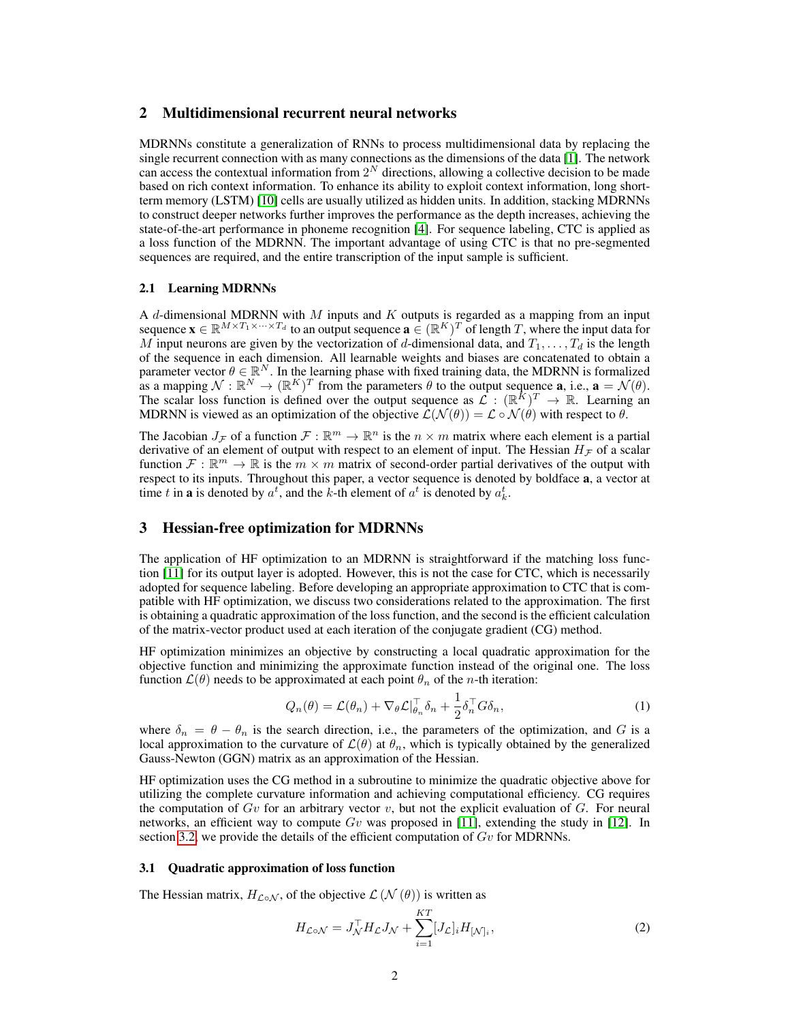# 2 Multidimensional recurrent neural networks

MDRNNs constitute a generalization of RNNs to process multidimensional data by replacing the single recurrent connection with as many connections as the dimensions of the data [1]. The network can access the contextual information from  $2^N$  directions, allowing a collective decision to be made based on rich context information. To enhance its ability to exploit context information, long shortterm memory (LSTM) [10] cells are usually utilized as hidden units. In addition, stacking MDRNNs to construct deeper networks further improves the performance as the depth increases, achieving the state-of-the-art performance in phoneme recognition [4]. For sequence labeling, CTC is applied as a loss function of the MDRNN. The important advantage of using CTC is that no pre-segmented sequences are required, and the entire transcription of the input sample is sufficient.

#### 2.1 Learning MDRNNs

A d-dimensional MDRNN with  $M$  inputs and  $K$  outputs is regarded as a mapping from an input sequence  $\mathbf{x} \in \mathbb{R}^{M \times T_1 \times \cdots \times T_d}$  to an output sequence  $\mathbf{a} \in (\mathbb{R}^K)^T$  of length T, where the input data for M input neurons are given by the vectorization of d-dimensional data, and  $T_1, \ldots, T_d$  is the length of the sequence in each dimension. All learnable weights and biases are concatenated to obtain a parameter vector  $\theta \in \mathbb{R}^N$ . In the learning phase with fixed training data, the MDRNN is formalized as a mapping  $\mathcal{N} : \mathbb{R}^N \to (\mathbb{R}^K)^T$  from the parameters  $\theta$  to the output sequence **a**, i.e.,  $\mathbf{a} = \mathcal{N}(\theta)$ . The scalar loss function is defined over the output sequence as  $\mathcal{L} : (\mathbb{R}^K)^T \to \mathbb{R}$ . Learning an MDRNN is viewed as an optimization of the objective  $\mathcal{L}(\mathcal{N}(\theta)) = \mathcal{L} \circ \mathcal{N}(\theta)$  with respect to  $\theta$ .

The Jacobian  $J_{\mathcal{F}}$  of a function  $\mathcal{F} : \mathbb{R}^m \to \mathbb{R}^n$  is the  $n \times m$  matrix where each element is a partial derivative of an element of output with respect to an element of input. The Hessian  $H<sub>\mathcal{F}</sub>$  of a scalar function  $\mathcal{F} : \mathbb{R}^m \to \mathbb{R}$  is the  $m \times m$  matrix of second-order partial derivatives of the output with respect to its inputs. Throughout this paper, a vector sequence is denoted by boldface a, a vector at time t in **a** is denoted by  $a^t$ , and the k-th element of  $a^t$  is denoted by  $a^t_k$ .

# 3 Hessian-free optimization for MDRNNs

The application of HF optimization to an MDRNN is straightforward if the matching loss function [11] for its output layer is adopted. However, this is not the case for CTC, which is necessarily adopted for sequence labeling. Before developing an appropriate approximation to CTC that is compatible with HF optimization, we discuss two considerations related to the approximation. The first is obtaining a quadratic approximation of the loss function, and the second is the efficient calculation of the matrix-vector product used at each iteration of the conjugate gradient (CG) method.

HF optimization minimizes an objective by constructing a local quadratic approximation for the objective function and minimizing the approximate function instead of the original one. The loss function  $\mathcal{L}(\theta)$  needs to be approximated at each point  $\theta_n$  of the *n*-th iteration:

$$
Q_n(\theta) = \mathcal{L}(\theta_n) + \nabla_{\theta} \mathcal{L}|_{\theta_n}^{\top} \delta_n + \frac{1}{2} \delta_n^{\top} G \delta_n,
$$
\n(1)

where  $\delta_n = \theta - \theta_n$  is the search direction, i.e., the parameters of the optimization, and G is a local approximation to the curvature of  $\mathcal{L}(\theta)$  at  $\theta_n$ , which is typically obtained by the generalized Gauss-Newton (GGN) matrix as an approximation of the Hessian.

HF optimization uses the CG method in a subroutine to minimize the quadratic objective above for utilizing the complete curvature information and achieving computational efficiency. CG requires the computation of  $Gv$  for an arbitrary vector  $v$ , but not the explicit evaluation of  $G$ . For neural networks, an efficient way to compute  $Gv$  was proposed in [11], extending the study in [12]. In section 3.2, we provide the details of the efficient computation of  $Gv$  for MDRNNs.

#### 3.1 Quadratic approximation of loss function

The Hessian matrix,  $H_{\mathcal{L} \circ \mathcal{N}}$ , of the objective  $\mathcal{L}(\mathcal{N}(\theta))$  is written as

$$
H_{\mathcal{L}\circ\mathcal{N}} = J_{\mathcal{N}}^{\top} H_{\mathcal{L}} J_{\mathcal{N}} + \sum_{i=1}^{KT} [J_{\mathcal{L}}]_i H_{\mathcal{N}}_i,
$$
\n(2)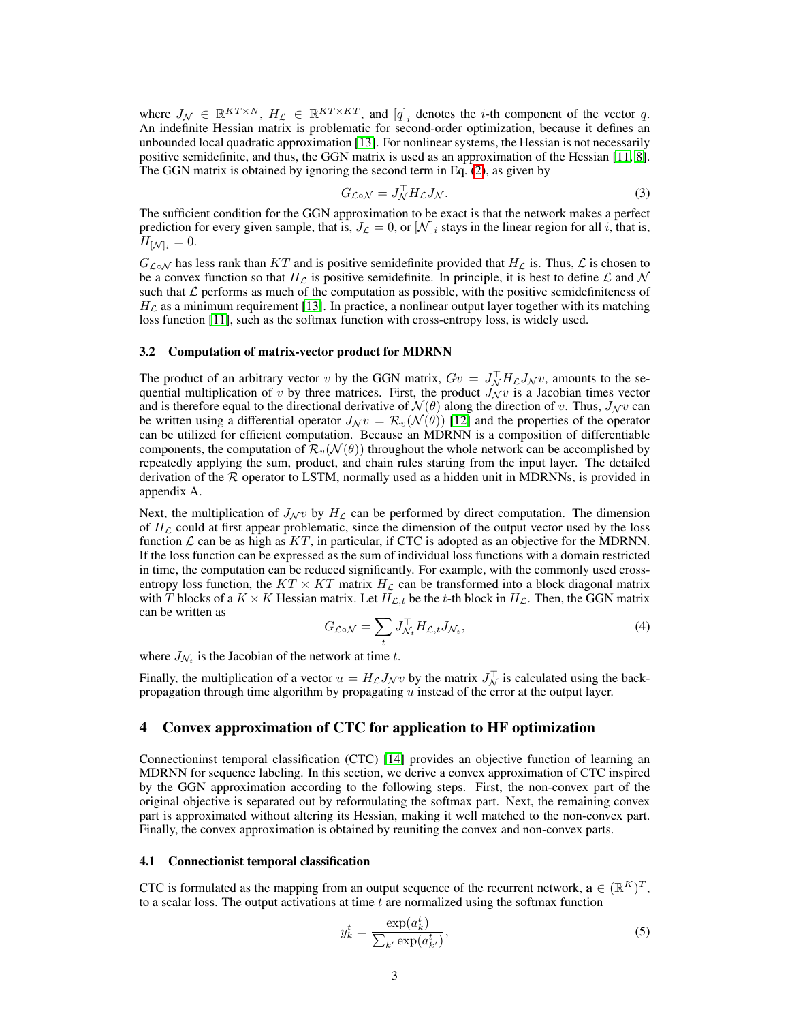where  $J_{\mathcal{N}} \in \mathbb{R}^{KT \times N}$ ,  $H_{\mathcal{L}} \in \mathbb{R}^{KT \times KT}$ , and  $[q]_i$  denotes the *i*-th component of the vector q. An indefinite Hessian matrix is problematic for second-order optimization, because it defines an unbounded local quadratic approximation [13]. For nonlinear systems, the Hessian is not necessarily positive semidefinite, and thus, the GGN matrix is used as an approximation of the Hessian [11, 8]. The GGN matrix is obtained by ignoring the second term in Eq. (2), as given by

$$
G_{\mathcal{L}\circ\mathcal{N}} = J_{\mathcal{N}}^{\top} H_{\mathcal{L}} J_{\mathcal{N}}.\tag{3}
$$

The sufficient condition for the GGN approximation to be exact is that the network makes a perfect prediction for every given sample, that is,  $J_{\mathcal{L}} = 0$ , or  $[\mathcal{N}]_i$  stays in the linear region for all i, that is,  $H_{\left[ \mathcal{N}\right] _{i}}=0.$ 

 $G_{\mathcal{L}\circ\mathcal{N}}$  has less rank than KT and is positive semidefinite provided that  $H_{\mathcal{L}}$  is. Thus,  $\mathcal{L}$  is chosen to be a convex function so that  $H_{\mathcal{L}}$  is positive semidefinite. In principle, it is best to define  $\mathcal{L}$  and  $\mathcal{N}$ such that  $\mathcal L$  performs as much of the computation as possible, with the positive semidefiniteness of  $H_{\mathcal{L}}$  as a minimum requirement [13]. In practice, a nonlinear output layer together with its matching loss function [11], such as the softmax function with cross-entropy loss, is widely used.

#### 3.2 Computation of matrix-vector product for MDRNN

The product of an arbitrary vector v by the GGN matrix,  $Gv = J_M^{\top} H_L J_N v$ , amounts to the sequential multiplication of v by three matrices. First, the product  $\vec{J_{\mathcal{N}}}v$  is a Jacobian times vector and is therefore equal to the directional derivative of  $\mathcal{N}(\theta)$  along the direction of v. Thus,  $J_{\mathcal{N}}v$  can be written using a differential operator  $J_{\mathcal{N}}v = \mathcal{R}_v(\mathcal{N}(\theta))$  [12] and the properties of the operator can be utilized for efficient computation. Because an MDRNN is a composition of differentiable components, the computation of  $\mathcal{R}_v(\mathcal{N}(\theta))$  throughout the whole network can be accomplished by repeatedly applying the sum, product, and chain rules starting from the input layer. The detailed derivation of the  $R$  operator to LSTM, normally used as a hidden unit in MDRNNs, is provided in appendix A.

Next, the multiplication of  $J_{\mathcal{N}}v$  by  $H_{\mathcal{L}}$  can be performed by direct computation. The dimension of  $H<sub>C</sub>$  could at first appear problematic, since the dimension of the output vector used by the loss function  $\mathcal L$  can be as high as  $KT$ , in particular, if CTC is adopted as an objective for the MDRNN. If the loss function can be expressed as the sum of individual loss functions with a domain restricted in time, the computation can be reduced significantly. For example, with the commonly used crossentropy loss function, the  $KT \times KT$  matrix  $H<sub>L</sub>$  can be transformed into a block diagonal matrix with T blocks of a  $K \times K$  Hessian matrix. Let  $H_{\mathcal{L},t}$  be the t-th block in  $H_{\mathcal{L}}$ . Then, the GGN matrix can be written as

$$
G_{\mathcal{L}\circ\mathcal{N}} = \sum_{t} J_{\mathcal{N}_t}^{\top} H_{\mathcal{L},t} J_{\mathcal{N}_t},\tag{4}
$$

where  $J_{\mathcal{N}_t}$  is the Jacobian of the network at time t.

Finally, the multiplication of a vector  $u = H_{\mathcal{L}} J_{\mathcal{N}} v$  by the matrix  $J_{\mathcal{N}}^{\top}$  is calculated using the backpropagation through time algorithm by propagating  $u$  instead of the error at the output layer.

## 4 Convex approximation of CTC for application to HF optimization

Connectioninst temporal classification (CTC) [14] provides an objective function of learning an MDRNN for sequence labeling. In this section, we derive a convex approximation of CTC inspired by the GGN approximation according to the following steps. First, the non-convex part of the original objective is separated out by reformulating the softmax part. Next, the remaining convex part is approximated without altering its Hessian, making it well matched to the non-convex part. Finally, the convex approximation is obtained by reuniting the convex and non-convex parts.

#### 4.1 Connectionist temporal classification

CTC is formulated as the mapping from an output sequence of the recurrent network,  $\mathbf{a} \in (\mathbb{R}^K)^T$ , to a scalar loss. The output activations at time  $t$  are normalized using the softmax function

$$
y_k^t = \frac{\exp(a_k^t)}{\sum_{k'} \exp(a_{k'}^t)},
$$
\n(5)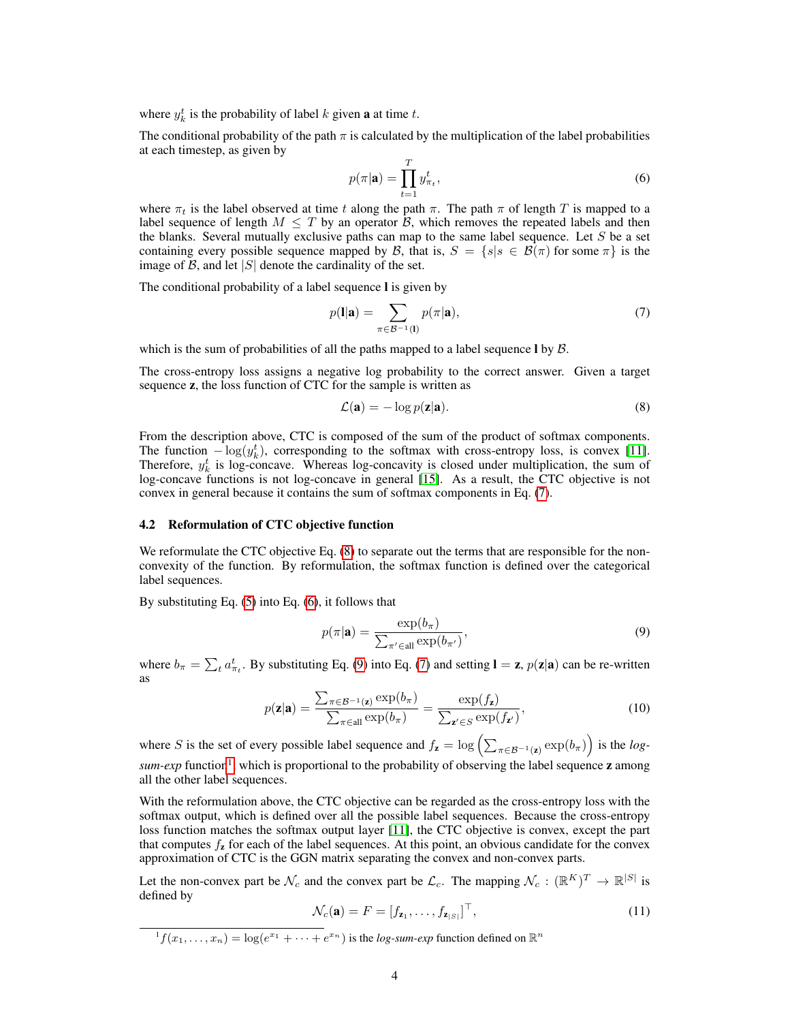where  $y_k^t$  is the probability of label k given **a** at time t.

The conditional probability of the path  $\pi$  is calculated by the multiplication of the label probabilities at each timestep, as given by

$$
p(\pi|\mathbf{a}) = \prod_{t=1}^{T} y_{\pi_t}^t,\tag{6}
$$

where  $\pi_t$  is the label observed at time t along the path  $\pi$ . The path  $\pi$  of length T is mapped to a label sequence of length  $M \leq T$  by an operator B, which removes the repeated labels and then the blanks. Several mutually exclusive paths can map to the same label sequence. Let  $S$  be a set containing every possible sequence mapped by B, that is,  $S = \{s | s \in \mathcal{B}(\pi) \text{ for some } \pi \}$  is the image of  $\mathcal{B}$ , and let  $|S|$  denote the cardinality of the set.

The conditional probability of a label sequence l is given by

$$
p(\mathbf{l}|\mathbf{a}) = \sum_{\pi \in \mathcal{B}^{-1}(\mathbf{l})} p(\pi|\mathbf{a}),\tag{7}
$$

which is the sum of probabilities of all the paths mapped to a label sequence  $\log B$ .

The cross-entropy loss assigns a negative log probability to the correct answer. Given a target sequence z, the loss function of CTC for the sample is written as

$$
\mathcal{L}(\mathbf{a}) = -\log p(\mathbf{z}|\mathbf{a}).\tag{8}
$$

From the description above, CTC is composed of the sum of the product of softmax components. The function  $-\log(y_k^t)$ , corresponding to the softmax with cross-entropy loss, is convex [11]. Therefore,  $y_k^t$  is log-concave. Whereas log-concavity is closed under multiplication, the sum of log-concave functions is not log-concave in general [15]. As a result, the CTC objective is not convex in general because it contains the sum of softmax components in Eq. (7).

#### 4.2 Reformulation of CTC objective function

We reformulate the CTC objective Eq. (8) to separate out the terms that are responsible for the nonconvexity of the function. By reformulation, the softmax function is defined over the categorical label sequences.

By substituting Eq. (5) into Eq. (6), it follows that

$$
p(\pi|\mathbf{a}) = \frac{\exp(b_{\pi})}{\sum_{\pi' \in \text{all}} \exp(b_{\pi'})},\tag{9}
$$

where  $b_{\pi} = \sum_{t} a_{\pi_t}^{t}$ . By substituting Eq. (9) into Eq. (7) and setting  $\mathbf{l} = \mathbf{z}$ ,  $p(\mathbf{z}|\mathbf{a})$  can be re-written as

$$
p(\mathbf{z}|\mathbf{a}) = \frac{\sum_{\pi \in \mathcal{B}^{-1}(\mathbf{z})} \exp(b_{\pi})}{\sum_{\pi \in \text{all}} \exp(b_{\pi})} = \frac{\exp(f_{\mathbf{z}})}{\sum_{\mathbf{z}' \in S} \exp(f_{\mathbf{z}'})},
$$
(10)

where S is the set of every possible label sequence and  $f_z = \log \left( \sum_{\pi \in \mathcal{B}^{-1}(z)} \exp(b_\pi) \right)$  is the *log*sum-exp function<sup>1</sup>, which is proportional to the probability of observing the label sequence **z** among all the other label sequences.

With the reformulation above, the CTC objective can be regarded as the cross-entropy loss with the softmax output, which is defined over all the possible label sequences. Because the cross-entropy loss function matches the softmax output layer [11], the CTC objective is convex, except the part that computes  $f_{\rm z}$  for each of the label sequences. At this point, an obvious candidate for the convex approximation of CTC is the GGN matrix separating the convex and non-convex parts.

Let the non-convex part be  $\mathcal{N}_c$  and the convex part be  $\mathcal{L}_c$ . The mapping  $\mathcal{N}_c : (\mathbb{R}^K)^T \to \mathbb{R}^{|S|}$  is defined by

$$
\mathcal{N}_c(\mathbf{a}) = F = [f_{\mathbf{z}_1}, \dots, f_{\mathbf{z}_{|S|}}]^\top,
$$
\n(11)

 $f(x_1,...,x_n) = \log(e^{x_1} + \cdots + e^{x_n})$  is the *log-sum-exp* function defined on  $\mathbb{R}^n$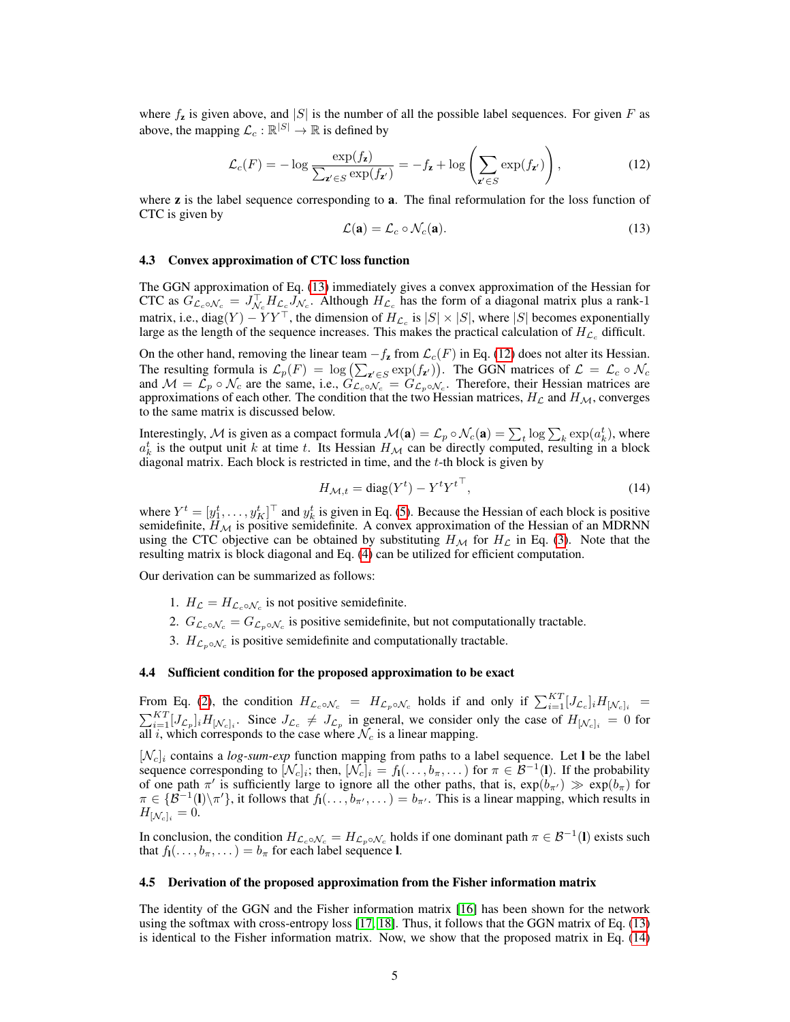where  $f_{\rm z}$  is given above, and |S| is the number of all the possible label sequences. For given F as above, the mapping  $\mathcal{L}_c : \mathbb{R}^{|S|} \to \mathbb{R}$  is defined by

$$
\mathcal{L}_c(F) = -\log \frac{\exp(f_{\mathbf{z}})}{\sum_{\mathbf{z}' \in S} \exp(f_{\mathbf{z}'})} = -f_{\mathbf{z}} + \log \left( \sum_{\mathbf{z}' \in S} \exp(f_{\mathbf{z}'}) \right),\tag{12}
$$

where  $\bf{z}$  is the label sequence corresponding to  $\bf{a}$ . The final reformulation for the loss function of CTC is given by

$$
\mathcal{L}(\mathbf{a}) = \mathcal{L}_c \circ \mathcal{N}_c(\mathbf{a}). \tag{13}
$$

#### 4.3 Convex approximation of CTC loss function

The GGN approximation of Eq. (13) immediately gives a convex approximation of the Hessian for CTC as  $G_{\mathcal{L}_c \circ \mathcal{N}_c} = J_{\mathcal{N}_c}^{\top} H_{\mathcal{L}_c} J_{\mathcal{N}_c}$ . Although  $H_{\mathcal{L}_c}$  has the form of a diagonal matrix plus a rank-1 matrix, i.e.,  $diag(Y) - YY^{\top}$ , the dimension of  $H_{\mathcal{L}_c}$  is  $|S| \times |S|$ , where  $|S|$  becomes exponentially large as the length of the sequence increases. This makes the practical calculation of  $H_{\mathcal{L}_c}$  difficult.

On the other hand, removing the linear team  $-f_{\mathbf{z}}$  from  $\mathcal{L}_c(F)$  in Eq. (12) does not alter its Hessian. The resulting formula is  $\mathcal{L}_p(F) = \log \left( \sum_{\mathbf{z}' \in S} \exp(f_{\mathbf{z}'}) \right)$ . The GGN matrices of  $\mathcal{L} = \mathcal{L}_c \circ \mathcal{N}_c$ and  $\mathcal{M} = \mathcal{L}_p \circ \mathcal{N}_c$  are the same, i.e.,  $G_{\mathcal{L}_c \circ \mathcal{N}_c} = G_{\mathcal{L}_p \circ \mathcal{N}_c}$ . Therefore, their Hessian matrices are approximations of each other. The condition that the two Hessian matrices,  $H_{\mathcal{L}}$  and  $H_{\mathcal{M}}$ , converges to the same matrix is discussed below.

Interestingly,  $\mathcal M$  is given as a compact formula  $\mathcal M(\mathbf a)=\mathcal L_p\circ\mathcal N_c(\mathbf a)=\sum_t\log\sum_k\exp(a_k^t)$ , where  $a_k^t$  is the output unit k at time t. Its Hessian  $H_M$  can be directly computed, resulting in a block diagonal matrix. Each block is restricted in time, and the t-th block is given by

$$
H_{\mathcal{M},t} = \text{diag}(Y^t) - Y^t Y^{t\top},\tag{14}
$$

where  $Y^t = [y_1^t, \dots, y_K^t]^\top$  and  $y_k^t$  is given in Eq. (5). Because the Hessian of each block is positive semidefinite,  $H_{\mathcal{M}}$  is positive semidefinite. A convex approximation of the Hessian of an MDRNN using the CTC objective can be obtained by substituting  $H_{\mathcal{M}}$  for  $H_{\mathcal{L}}$  in Eq. (3). Note that the resulting matrix is block diagonal and Eq. (4) can be utilized for efficient computation.

Our derivation can be summarized as follows:

- 1.  $H_{\mathcal{L}} = H_{\mathcal{L}_c \circ \mathcal{N}_c}$  is not positive semidefinite.
- 2.  $G_{\mathcal{L}_c \circ \mathcal{N}_c} = G_{\mathcal{L}_p \circ \mathcal{N}_c}$  is positive semidefinite, but not computationally tractable.
- 3.  $H_{\mathcal{L}_p \circ \mathcal{N}_c}$  is positive semidefinite and computationally tractable.

## 4.4 Sufficient condition for the proposed approximation to be exact

From Eq. (2), the condition  $H_{\mathcal{L}_c \circ \mathcal{N}_c} = H_{\mathcal{L}_p \circ \mathcal{N}_c}$  holds if and only if  $\sum_{i=1}^{KT} [J_{\mathcal{L}_c}]_i H_{[\mathcal{N}_c]_i}$  $\sum_{i=1}^{KT} [J_{\mathcal{L}_p}]_i H_{[\mathcal{N}_c]_i}$ . Since  $J_{\mathcal{L}_c} \neq J_{\mathcal{L}_p}$  in general, we consider only the case of  $H_{[\mathcal{N}_c]_i} = 0$  for all i, which corresponds to the case where  $\mathcal{N}_c$  is a linear mapping.

 $[\mathcal{N}_c]_i$  contains a *log-sum-exp* function mapping from paths to a label sequence. Let **l** be the label sequence corresponding to  $[\mathcal{N}_c]_i$ ; then,  $[\mathcal{N}_c]_i = f_1(\ldots, b_{\pi}, \ldots)$  for  $\pi \in \mathcal{B}^{-1}(\mathbf{l})$ . If the probability of one path  $\pi'$  is sufficiently large to ignore all the other paths, that is,  $\exp(b_{\pi'}) \gg \exp(b_{\pi})$  for  $\pi \in \{ \mathcal{B}^{-1}(I)\setminus \pi'\},\$ it follows that  $f_1(\ldots, b_{\pi'}, \ldots) = b_{\pi'}$ . This is a linear mapping, which results in  $H_{\left[\mathcal{N}_c\right]_i} = 0.$ 

In conclusion, the condition  $H_{\mathcal{L}_c \circ \mathcal{N}_c} = H_{\mathcal{L}_p \circ \mathcal{N}_c}$  holds if one dominant path  $\pi \in \mathcal{B}^{-1}(\mathbf{l})$  exists such that  $f_1(\ldots, b_{\pi}, \ldots) = b_{\pi}$  for each label sequence **l**.

#### 4.5 Derivation of the proposed approximation from the Fisher information matrix

The identity of the GGN and the Fisher information matrix [16] has been shown for the network using the softmax with cross-entropy loss [17, 18]. Thus, it follows that the GGN matrix of Eq. (13) is identical to the Fisher information matrix. Now, we show that the proposed matrix in Eq. (14)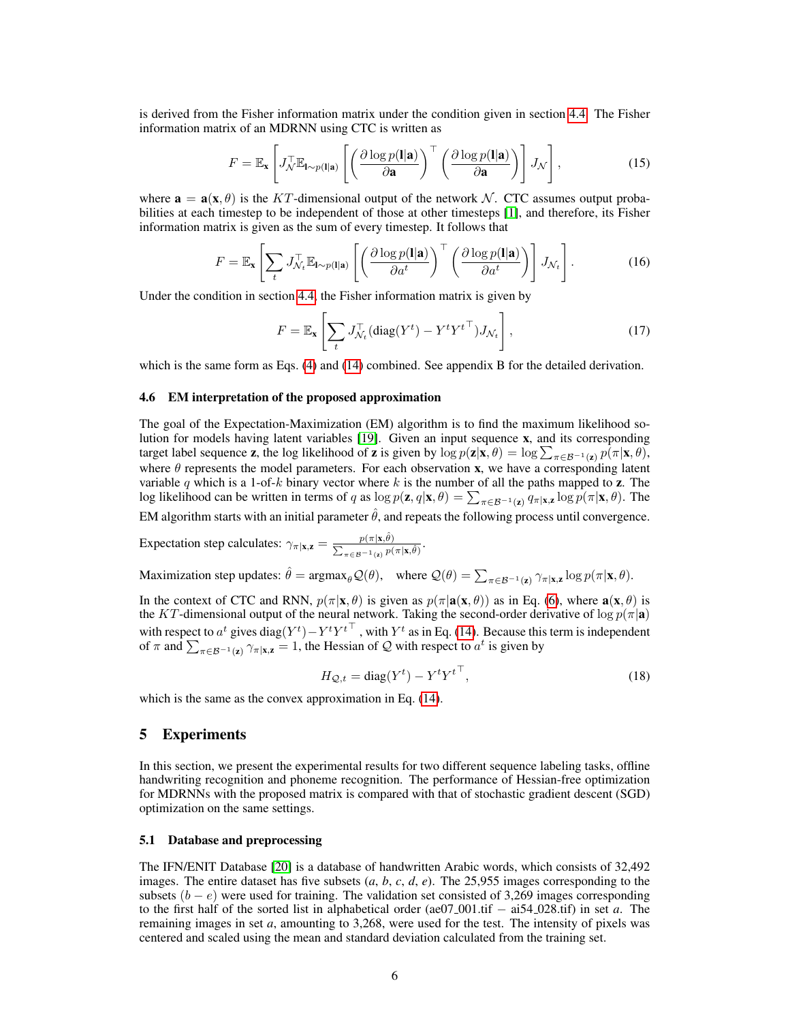is derived from the Fisher information matrix under the condition given in section 4.4. The Fisher information matrix of an MDRNN using CTC is written as

$$
F = \mathbb{E}_{\mathbf{x}} \left[ J_{\mathcal{N}}^{\top} \mathbb{E}_{\mathbf{l} \sim p(\mathbf{l}|\mathbf{a})} \left[ \left( \frac{\partial \log p(\mathbf{l}|\mathbf{a})}{\partial \mathbf{a}} \right)^{\top} \left( \frac{\partial \log p(\mathbf{l}|\mathbf{a})}{\partial \mathbf{a}} \right) \right] J_{\mathcal{N}} \right],
$$
(15)

where  $\mathbf{a} = \mathbf{a}(\mathbf{x}, \theta)$  is the KT-dimensional output of the network N. CTC assumes output probabilities at each timestep to be independent of those at other timesteps [1], and therefore, its Fisher information matrix is given as the sum of every timestep. It follows that

$$
F = \mathbb{E}_{\mathbf{x}} \left[ \sum_{t} J_{\mathcal{N}_t}^{\top} \mathbb{E}_{\mathbf{l} \sim p(\mathbf{l}|\mathbf{a})} \left[ \left( \frac{\partial \log p(\mathbf{l}|\mathbf{a})}{\partial a^t} \right)^{\top} \left( \frac{\partial \log p(\mathbf{l}|\mathbf{a})}{\partial a^t} \right) \right] J_{\mathcal{N}_t} \right].
$$
 (16)

Under the condition in section 4.4, the Fisher information matrix is given by

$$
F = \mathbb{E}_{\mathbf{x}} \left[ \sum_{t} J_{\mathcal{N}_t}^{\top} (\text{diag}(Y^t) - Y^t Y^{t\top}) J_{\mathcal{N}_t} \right],
$$
\n(17)

which is the same form as Eqs. (4) and (14) combined. See appendix B for the detailed derivation.

#### 4.6 EM interpretation of the proposed approximation

The goal of the Expectation-Maximization (EM) algorithm is to find the maximum likelihood solution for models having latent variables [19]. Given an input sequence x, and its corresponding target label sequence **z**, the log likelihood of **z** is given by  $\log p(\mathbf{z}|\mathbf{x}, \theta) = \log \sum_{\pi \in \mathcal{B}^{-1}(\mathbf{z})} p(\pi|\mathbf{x}, \theta)$ , where  $\theta$  represents the model parameters. For each observation x, we have a corresponding latent variable q which is a 1-of-k binary vector where k is the number of all the paths mapped to z. The log likelihood can be written in terms of q as  $\log p(\mathbf{z}, q | \mathbf{x}, \theta) = \sum_{\pi \in \mathcal{B}^{-1}(\mathbf{z})} q_{\pi | \mathbf{x}, \mathbf{z}} \log p(\pi | \mathbf{x}, \theta)$ . The EM algorithm starts with an initial parameter  $\hat{\theta}$ , and repeats the following process until convergence.

Expectation step calculates:  $\gamma_{\pi|\mathbf{x},\mathbf{z}} = \frac{p(\pi|\mathbf{x},\hat{\theta})}{\sum_{\mathbf{z}} p(\mathbf{z}|\mathbf{x},\hat{\theta})}$  $\frac{p(\pi|\mathbf{x},\theta)}{\sum_{\pi\in\mathcal{B}^{-1}(\mathbf{z})}p(\pi|\mathbf{x},\hat{\theta})}.$ 

Maximization step updates:  $\hat{\theta} = \argmax_{\theta} \mathcal{Q}(\theta)$ , where  $\mathcal{Q}(\theta) = \sum_{\pi \in \mathcal{B}^{-1}(\mathbf{z})} \gamma_{\pi|\mathbf{x},\mathbf{z}} \log p(\pi|\mathbf{x}, \theta)$ .

In the context of CTC and RNN,  $p(\pi|\mathbf{x}, \theta)$  is given as  $p(\pi|\mathbf{a}(\mathbf{x}, \theta))$  as in Eq. (6), where  $\mathbf{a}(\mathbf{x}, \theta)$  is the KT-dimensional output of the neural network. Taking the second-order derivative of  $\log p(\pi|\mathbf{a})$ with respect to  $a^t$  gives diag $(Y^t) - Y^t Y^{t\top}$ , with  $Y^t$  as in Eq. (14). Because this term is independent of  $\pi$  and  $\sum_{\pi \in \mathcal{B}^{-1}(\mathbf{z})} \gamma_{\pi | \mathbf{x}, \mathbf{z}} = 1$ , the Hessian of  $\mathcal{Q}$  with respect to  $a^t$  is given by

$$
H_{\mathcal{Q},t} = \text{diag}(Y^t) - Y^t Y^{t\top},\tag{18}
$$

which is the same as the convex approximation in Eq. (14).

# 5 Experiments

In this section, we present the experimental results for two different sequence labeling tasks, offline handwriting recognition and phoneme recognition. The performance of Hessian-free optimization for MDRNNs with the proposed matrix is compared with that of stochastic gradient descent (SGD) optimization on the same settings.

#### 5.1 Database and preprocessing

The IFN/ENIT Database [20] is a database of handwritten Arabic words, which consists of 32,492 images. The entire dataset has five subsets (*a*, *b*, *c*, *d*, *e*). The 25,955 images corresponding to the subsets  $(b - e)$  were used for training. The validation set consisted of 3,269 images corresponding to the first half of the sorted list in alphabetical order (ae07 001.tif − ai54 028.tif) in set *a*. The remaining images in set *a*, amounting to 3,268, were used for the test. The intensity of pixels was centered and scaled using the mean and standard deviation calculated from the training set.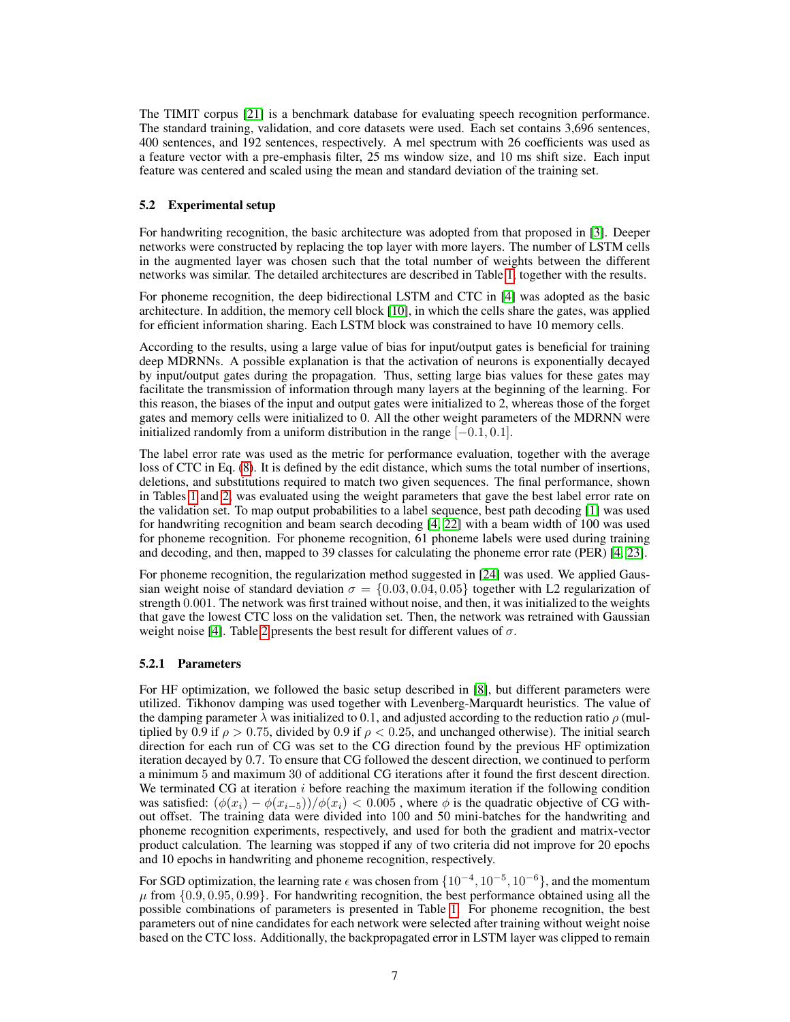The TIMIT corpus [21] is a benchmark database for evaluating speech recognition performance. The standard training, validation, and core datasets were used. Each set contains 3,696 sentences, 400 sentences, and 192 sentences, respectively. A mel spectrum with 26 coefficients was used as a feature vector with a pre-emphasis filter, 25 ms window size, and 10 ms shift size. Each input feature was centered and scaled using the mean and standard deviation of the training set.

## 5.2 Experimental setup

For handwriting recognition, the basic architecture was adopted from that proposed in [3]. Deeper networks were constructed by replacing the top layer with more layers. The number of LSTM cells in the augmented layer was chosen such that the total number of weights between the different networks was similar. The detailed architectures are described in Table 1, together with the results.

For phoneme recognition, the deep bidirectional LSTM and CTC in [4] was adopted as the basic architecture. In addition, the memory cell block [10], in which the cells share the gates, was applied for efficient information sharing. Each LSTM block was constrained to have 10 memory cells.

According to the results, using a large value of bias for input/output gates is beneficial for training deep MDRNNs. A possible explanation is that the activation of neurons is exponentially decayed by input/output gates during the propagation. Thus, setting large bias values for these gates may facilitate the transmission of information through many layers at the beginning of the learning. For this reason, the biases of the input and output gates were initialized to 2, whereas those of the forget gates and memory cells were initialized to 0. All the other weight parameters of the MDRNN were initialized randomly from a uniform distribution in the range  $[-0.1, 0.1]$ .

The label error rate was used as the metric for performance evaluation, together with the average loss of CTC in Eq. (8). It is defined by the edit distance, which sums the total number of insertions, deletions, and substitutions required to match two given sequences. The final performance, shown in Tables 1 and 2, was evaluated using the weight parameters that gave the best label error rate on the validation set. To map output probabilities to a label sequence, best path decoding [1] was used for handwriting recognition and beam search decoding [4, 22] with a beam width of 100 was used for phoneme recognition. For phoneme recognition, 61 phoneme labels were used during training and decoding, and then, mapped to 39 classes for calculating the phoneme error rate (PER) [4, 23].

For phoneme recognition, the regularization method suggested in [24] was used. We applied Gaussian weight noise of standard deviation  $\sigma = \{0.03, 0.04, 0.05\}$  together with L2 regularization of strength 0.001. The network was first trained without noise, and then, it was initialized to the weights that gave the lowest CTC loss on the validation set. Then, the network was retrained with Gaussian weight noise [4]. Table 2 presents the best result for different values of  $\sigma$ .

#### 5.2.1 Parameters

For HF optimization, we followed the basic setup described in [8], but different parameters were utilized. Tikhonov damping was used together with Levenberg-Marquardt heuristics. The value of the damping parameter  $\lambda$  was initialized to 0.1, and adjusted according to the reduction ratio  $\rho$  (multiplied by 0.9 if  $\rho > 0.75$ , divided by 0.9 if  $\rho < 0.25$ , and unchanged otherwise). The initial search direction for each run of CG was set to the CG direction found by the previous HF optimization iteration decayed by 0.7. To ensure that CG followed the descent direction, we continued to perform a minimum 5 and maximum 30 of additional CG iterations after it found the first descent direction. We terminated CG at iteration  $i$  before reaching the maximum iteration if the following condition was satisfied:  $(\phi(x_i) - \phi(x_{i-5}))/\phi(x_i) < 0.005$ , where  $\phi$  is the quadratic objective of CG without offset. The training data were divided into 100 and 50 mini-batches for the handwriting and phoneme recognition experiments, respectively, and used for both the gradient and matrix-vector product calculation. The learning was stopped if any of two criteria did not improve for 20 epochs and 10 epochs in handwriting and phoneme recognition, respectively.

For SGD optimization, the learning rate  $\epsilon$  was chosen from  $\{10^{-4}, 10^{-5}, 10^{-6}\}$ , and the momentum  $\mu$  from  $\{0.9, 0.95, 0.99\}$ . For handwriting recognition, the best performance obtained using all the possible combinations of parameters is presented in Table 1. For phoneme recognition, the best parameters out of nine candidates for each network were selected after training without weight noise based on the CTC loss. Additionally, the backpropagated error in LSTM layer was clipped to remain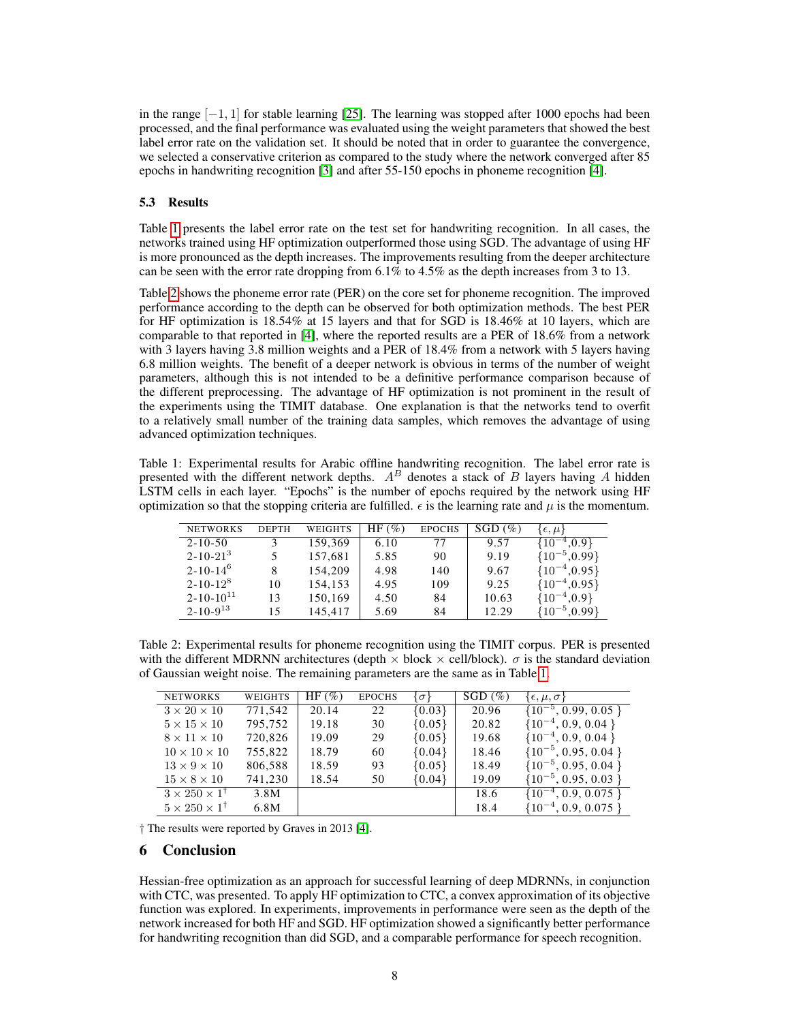in the range  $[-1, 1]$  for stable learning  $[25]$ . The learning was stopped after 1000 epochs had been processed, and the final performance was evaluated using the weight parameters that showed the best label error rate on the validation set. It should be noted that in order to guarantee the convergence, we selected a conservative criterion as compared to the study where the network converged after 85 epochs in handwriting recognition [3] and after 55-150 epochs in phoneme recognition [4].

## 5.3 Results

Table 1 presents the label error rate on the test set for handwriting recognition. In all cases, the networks trained using HF optimization outperformed those using SGD. The advantage of using HF is more pronounced as the depth increases. The improvements resulting from the deeper architecture can be seen with the error rate dropping from  $6.1\%$  to  $4.5\%$  as the depth increases from 3 to 13.

Table 2 shows the phoneme error rate (PER) on the core set for phoneme recognition. The improved performance according to the depth can be observed for both optimization methods. The best PER for HF optimization is 18.54% at 15 layers and that for SGD is 18.46% at 10 layers, which are comparable to that reported in [4], where the reported results are a PER of 18.6% from a network with 3 layers having 3.8 million weights and a PER of 18.4% from a network with 5 layers having 6.8 million weights. The benefit of a deeper network is obvious in terms of the number of weight parameters, although this is not intended to be a definitive performance comparison because of the different preprocessing. The advantage of HF optimization is not prominent in the result of the experiments using the TIMIT database. One explanation is that the networks tend to overfit to a relatively small number of the training data samples, which removes the advantage of using advanced optimization techniques.

Table 1: Experimental results for Arabic offline handwriting recognition. The label error rate is presented with the different network depths.  $A^B$  denotes a stack of B layers having A hidden LSTM cells in each layer. "Epochs" is the number of epochs required by the network using HF optimization so that the stopping criteria are fulfilled.  $\epsilon$  is the learning rate and  $\mu$  is the momentum.

| <b>NETWORKS</b>    | <b>DEPTH</b> | WEIGHTS | $HF(\%)$ | <b>EPOCHS</b> | $SGD$ (%) | $\{ \epsilon, \mu \}$ |
|--------------------|--------------|---------|----------|---------------|-----------|-----------------------|
| $2 - 10 - 50$      |              | 159,369 | 6.10     | 77            | 9.57      | $^{-4},0.9$<br>{10]   |
| $2 - 10 - 21^{3}$  |              | 157,681 | 5.85     | 90            | 9.19      | ${10^{-5},0.99}$      |
| $2 - 10 - 14^{6}$  |              | 154,209 | 4.98     | 140           | 9.67      | ${10^{-4}, 0.95}$     |
| $2 - 10 - 12^8$    | 10           | 154,153 | 4.95     | 109           | 9.25      | ${10^{-4}, 0.95}$     |
| $2 - 10 - 10^{11}$ | 13           | 150,169 | 4.50     | 84            | 10.63     | ${10^{-4},0.9}$       |
| $2 - 10 - 9^{13}$  | 15           | 145,417 | 5.69     | 84            | 12.29     | ${10^{-5},0.99}$      |

Table 2: Experimental results for phoneme recognition using the TIMIT corpus. PER is presented with the different MDRNN architectures (depth  $\times$  block  $\times$  cell/block).  $\sigma$  is the standard deviation of Gaussian weight noise. The remaining parameters are the same as in Table 1.

| <b>NETWORKS</b>                   | WEIGHTS | HF $(\% )$ | <b>EPOCHS</b> | $\{\sigma\}$ | $SGD$ (%) | $\{\epsilon, \mu, \sigma\}$ |
|-----------------------------------|---------|------------|---------------|--------------|-----------|-----------------------------|
| $3 \times 20 \times 10$           | 771,542 | 20.14      | 22            | ${0.03}$     | 20.96     | $\{10^{-5}, 0.99, 0.05\}$   |
| $5 \times 15 \times 10$           | 795,752 | 19.18      | 30            | ${0.05}$     | 20.82     | $\{10^{-4}, 0.9, 0.04\}$    |
| $8 \times 11 \times 10$           | 720,826 | 19.09      | 29            | ${0.05}$     | 19.68     | $\{10^{-4}, 0.9, 0.04\}$    |
| $10 \times 10 \times 10$          | 755,822 | 18.79      | 60            | ${0.04}$     | 18.46     | $\{10^{-5}, 0.95, 0.04\}$   |
| $13 \times 9 \times 10$           | 806,588 | 18.59      | 93            | ${0.05}$     | 18.49     | $\{10^{-5}, 0.95, 0.04\}$   |
| $15 \times 8 \times 10$           | 741,230 | 18.54      | 50            | ${0.04}$     | 19.09     | $\{10^{-5}, 0.95, 0.03\}$   |
| $3 \times 250 \times 1^{\dagger}$ | 3.8M    |            |               |              | 18.6      | $\{10^{-4}, 0.9, 0.075\}$   |
| $5 \times 250 \times 1^{\dagger}$ | 6.8M    |            |               |              | 18.4      | $\{10^{-4}, 0.9, 0.075\}$   |

† The results were reported by Graves in 2013 [4].

## 6 Conclusion

Hessian-free optimization as an approach for successful learning of deep MDRNNs, in conjunction with CTC, was presented. To apply HF optimization to CTC, a convex approximation of its objective function was explored. In experiments, improvements in performance were seen as the depth of the network increased for both HF and SGD. HF optimization showed a significantly better performance for handwriting recognition than did SGD, and a comparable performance for speech recognition.